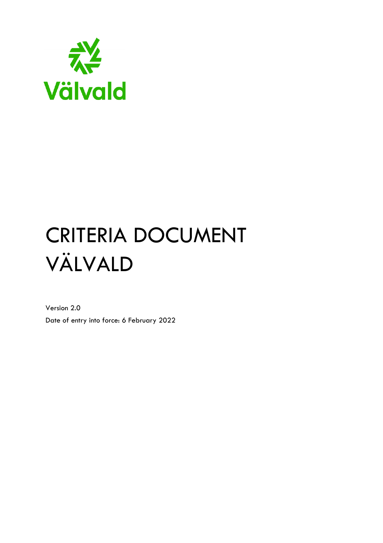

# CRITERIA DOCUMENT VÄLVALD

Version 2.0 Date of entry into force: 6 February 2022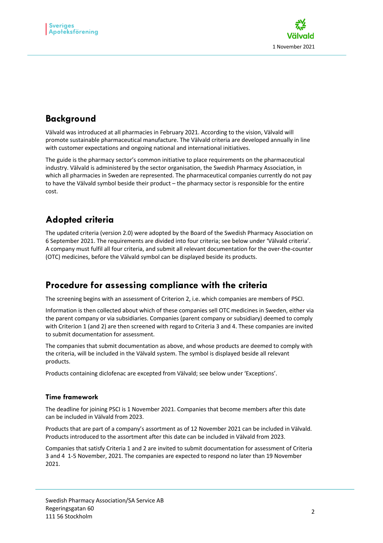

## **Background**

Välvald was introduced at all pharmacies in February 2021. According to the vision, Välvald will promote sustainable pharmaceutical manufacture. The Välvald criteria are developed annually in line with customer expectations and ongoing national and international initiatives.

The guide is the pharmacy sector's common initiative to place requirements on the pharmaceutical industry. Välvald is administered by the sector organisation, the Swedish Pharmacy Association, in which all pharmacies in Sweden are represented. The pharmaceutical companies currently do not pay to have the Välvald symbol beside their product – the pharmacy sector is responsible for the entire cost.

## **Adopted criteria**

The updated criteria (version 2.0) were adopted by the Board of the Swedish Pharmacy Association on 6 September 2021. The requirements are divided into four criteria; see below under 'Välvald criteria'. A company must fulfil all four criteria, and submit all relevant documentation for the over-the-counter (OTC) medicines, before the Välvald symbol can be displayed beside its products.

## **Procedure for assessing compliance with the criteria**

The screening begins with an assessment of Criterion 2, i.e. which companies are members of PSCI.

Information is then collected about which of these companies sell OTC medicines in Sweden, either via the parent company or via subsidiaries. Companies (parent company or subsidiary) deemed to comply with Criterion 1 (and 2) are then screened with regard to Criteria 3 and 4. These companies are invited to submit documentation for assessment.

The companies that submit documentation as above, and whose products are deemed to comply with the criteria, will be included in the Välvald system. The symbol is displayed beside all relevant products.

Products containing diclofenac are excepted from Välvald; see below under 'Exceptions'.

#### **Time framework**

The deadline for joining PSCI is 1 November 2021. Companies that become members after this date can be included in Välvald from 2023.

Products that are part of a company's assortment as of 12 November 2021 can be included in Välvald. Products introduced to the assortment after this date can be included in Välvald from 2023.

Companies that satisfy Criteria 1 and 2 are invited to submit documentation for assessment of Criteria 3 and 4 1-5 November, 2021. The companies are expected to respond no later than 19 November 2021.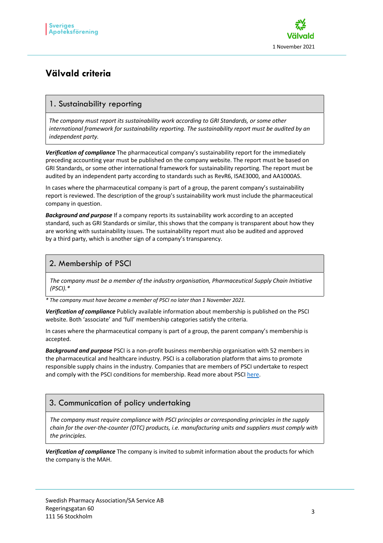

## **Välvald criteria**

### 1. Sustainability reporting

*The company must report its sustainability work according to GRI Standards, or some other international framework for sustainability reporting. The sustainability report must be audited by an independent party.*

*Verification of compliance* The pharmaceutical company's sustainability report for the immediately preceding accounting year must be published on the company website. The report must be based on GRI Standards, or some other international framework for sustainability reporting. The report must be audited by an independent party according to standards such as RevR6, ISAE3000, and AA1000AS.

In cases where the pharmaceutical company is part of a group, the parent company's sustainability report is reviewed. The description of the group's sustainability work must include the pharmaceutical company in question.

*Background and purpose* If a company reports its sustainability work according to an accepted standard, such as GRI Standards or similar, this shows that the company is transparent about how they are working with sustainability issues. The sustainability report must also be audited and approved by a third party, which is another sign of a company's transparency.

#### 2. Membership of PSCI

*The company must be a member of the industry organisation, Pharmaceutical Supply Chain Initiative (PSCI).\**

*\* The company must have become a member of PSCI no later than 1 November 2021.*

*Verification of compliance* Publicly available information about membership is published on the PSCI website. Both 'associate' and 'full' membership categories satisfy the criteria.

In cases where the pharmaceutical company is part of a group, the parent company's membership is accepted.

*Background and purpose* PSCI is a non-profit business membership organisation with 52 members in the pharmaceutical and healthcare industry. PSCI is a collaboration platform that aims to promote responsible supply chains in the industry. Companies that are members of PSCI undertake to respect and comply with the PSCI conditions for membership. Read more about PSCI here.

#### 3. Communication of policy undertaking

*The company must require compliance with PSCI principles or corresponding principles in the supply chain for the over-the-counter (OTC) products, i.e. manufacturing units and suppliers must comply with the principles.*

*Verification of compliance* The company is invited to submit information about the products for which the company is the MAH.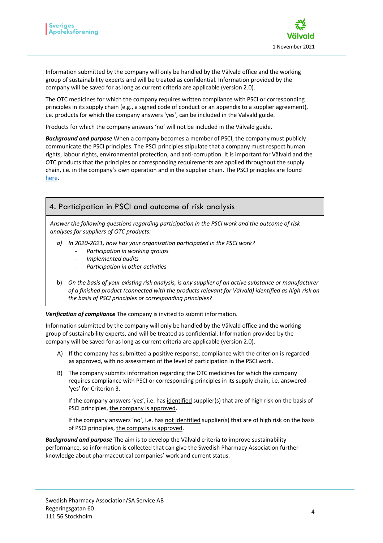

Information submitted by the company will only be handled by the Välvald office and the working group of sustainability experts and will be treated as confidential. Information provided by the company will be saved for as long as current criteria are applicable (version 2.0).

The OTC medicines for which the company requires written compliance with PSCI or corresponding principles in its supply chain (e.g., a signed code of conduct or an appendix to a supplier agreement), i.e. products for which the company answers 'yes', can be included in the Välvald guide.

Products for which the company answers 'no' will not be included in the Välvald guide.

*Background and purpose* When a company becomes a member of PSCI, the company must publicly communicate the PSCI principles. The PSCI principles stipulate that a company must respect human rights, labour rights, environmental protection, and anti-corruption. It is important for Välvald and the OTC products that the principles or corresponding requirements are applied throughout the supply chain, i.e. in the company's own operation and in the supplier chain. The PSCI principles are found here.

#### 4. Participation in PSCI and outcome of risk analysis

*Answer the following questions regarding participation in the PSCI work and the outcome of risk analyses for suppliers of OTC products:*

- *a) In 2020-2021, how has your organisation participated in the PSCI work?*
	- *Participation in working groups*
	- *Implemented audits*
	- *Participation in other activities*
- b) *On the basis of your existing risk analysis, is any supplier of an active substance or manufacturer of a finished product (connected with the products relevant for Välvald) identified as high-risk on the basis of PSCI principles or corresponding principles?*

*Verification of compliance* The company is invited to submit information.

Information submitted by the company will only be handled by the Välvald office and the working group of sustainability experts, and will be treated as confidential. Information provided by the company will be saved for as long as current criteria are applicable (version 2.0).

- A) If the company has submitted a positive response, compliance with the criterion is regarded as approved, with no assessment of the level of participation in the PSCI work.
- B) The company submits information regarding the OTC medicines for which the company requires compliance with PSCI or corresponding principles in its supply chain, i.e. answered 'yes' for Criterion 3.

If the company answers 'yes', i.e. has identified supplier(s) that are of high risk on the basis of PSCI principles, the company is approved.

If the company answers 'no', i.e. has not identified supplier(s) that are of high risk on the basis of PSCI principles, the company is approved.

*Background and purpose* The aim is to develop the Välvald criteria to improve sustainability performance, so information is collected that can give the Swedish Pharmacy Association further knowledge about pharmaceutical companies' work and current status.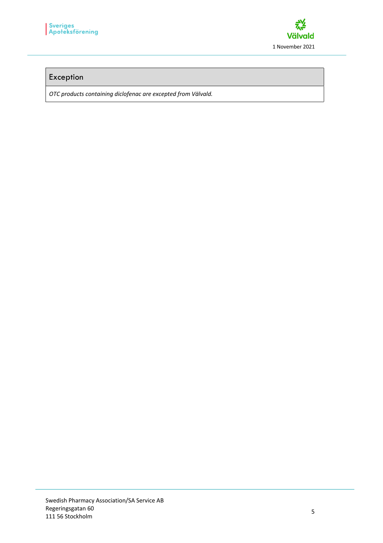

#### Exception

*OTC products containing diclofenac are excepted from Välvald.*